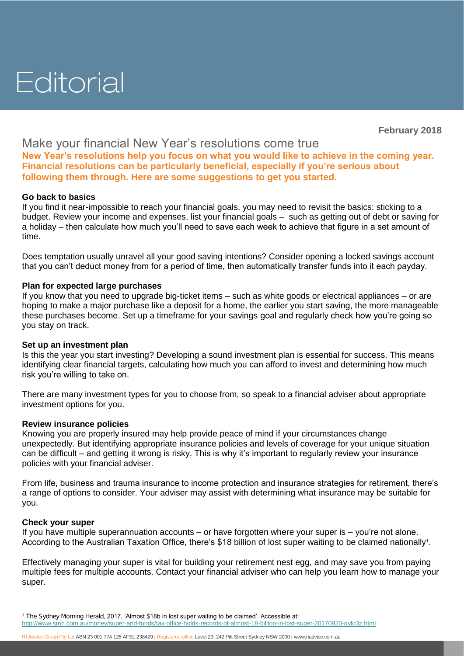# Editorial

**February 2018**

# Make your financial New Year's resolutions come true

**New Year's resolutions help you focus on what you would like to achieve in the coming year. Financial resolutions can be particularly beneficial, especially if you're serious about following them through. Here are some suggestions to get you started.**

# **Go back to basics**

If you find it near-impossible to reach your financial goals, you may need to revisit the basics: sticking to a budget. Review your income and expenses, list your financial goals – such as getting out of debt or saving for a holiday – then calculate how much you'll need to save each week to achieve that figure in a set amount of time.

Does temptation usually unravel all your good saving intentions? Consider opening a locked savings account that you can't deduct money from for a period of time, then automatically transfer funds into it each payday.

## **Plan for expected large purchases**

If you know that you need to upgrade big-ticket items – such as white goods or electrical appliances – or are hoping to make a major purchase like a deposit for a home, the earlier you start saving, the more manageable these purchases become. Set up a timeframe for your savings goal and regularly check how you're going so you stay on track.

## **Set up an investment plan**

Is this the year you start investing? Developing a sound investment plan is essential for success. This means identifying clear financial targets, calculating how much you can afford to invest and determining how much risk you're willing to take on.

There are many investment types for you to choose from, so speak to a financial adviser about appropriate investment options for you.

## **Review insurance policies**

Knowing you are properly insured may help provide peace of mind if your circumstances change unexpectedly. But identifying appropriate insurance policies and levels of coverage for your unique situation can be difficult – and getting it wrong is risky. This is why it's important to regularly review your insurance policies with your financial adviser.

From life, business and trauma insurance to income protection and insurance strategies for retirement, there's a range of options to consider. Your adviser may assist with determining what insurance may be suitable for you.

## **Check your super**

 $\overline{a}$ 

If you have multiple superannuation accounts – or have forgotten where your super is – you're not alone. According to the Australian Taxation Office, there's \$18 billion of lost super waiting to be claimed nationally<sup>1</sup>.

Effectively managing your super is vital for building your retirement nest egg, and may save you from paying multiple fees for multiple accounts. Contact your financial adviser who can help you learn how to manage your super.

**<sup>1</sup>** *The Sydney Morning Herald*, 2017, 'Almost \$18b in lost super waiting to be claimed'. Accessible at:

<http://www.smh.com.au/money/super-and-funds/tax-office-holds-records-of-almost-18-billion-in-lost-super-20170920-gylo3z.html>

RI Advice Group Pty Ltd ABN 23 001 774 125 AFSL 238429 | Registered office Level 23, 242 Pitt Street Sydney NSW 2000 | [www.riadvice.com.au](http://www.riadvice.com.au/)